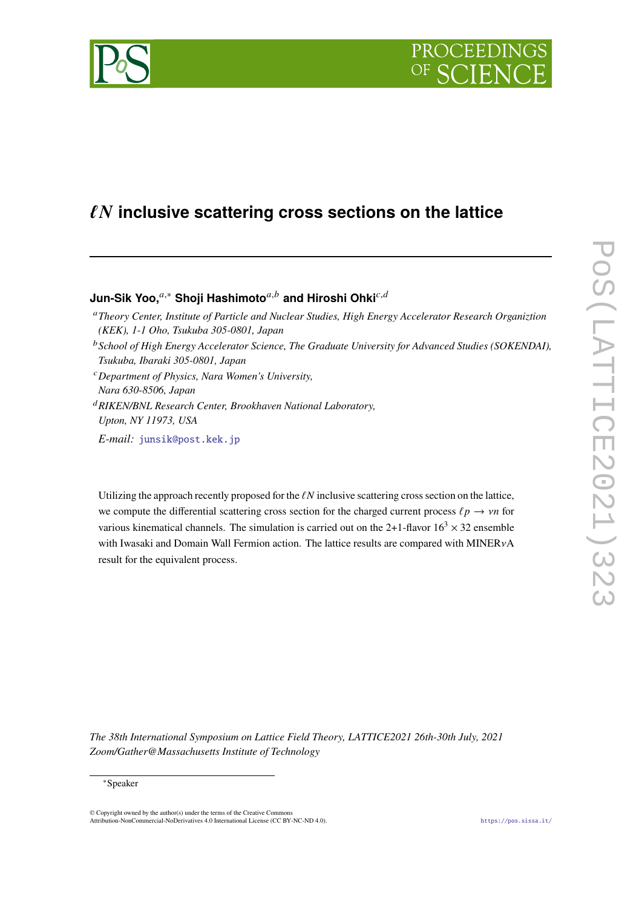

# ℓ𝑵 **inclusive scattering cross sections on the lattice**

## **Jun-Sik Yoo,**<sup>a,∗</sup> Shoji Hashimoto<sup>a,b</sup> and Hiroshi Ohki<sup>c,d</sup>

- <sup>𝑎</sup>*Theory Center, Institute of Particle and Nuclear Studies, High Energy Accelerator Research Organiztion (KEK), 1-1 Oho, Tsukuba 305-0801, Japan*
- <sup>b</sup> School of High Energy Accelerator Science, The Graduate University for Advanced Studies (SOKENDAI), *Tsukuba, Ibaraki 305-0801, Japan*
- <sup>𝑐</sup>*Department of Physics, Nara Women's University,*
- *Nara 630-8506, Japan*
- <sup>𝑑</sup>*RIKEN/BNL Research Center, Brookhaven National Laboratory, Upton, NY 11973, USA*

*E-mail:* [junsik@post.kek.jp](mailto:junsik@post.kek.jp)

Utilizing the approach recently proposed for the  $\ell N$  inclusive scattering cross section on the lattice, we compute the differential scattering cross section for the charged current process  $\ell p \to \nu n$  for various kinematical channels. The simulation is carried out on the 2+1-flavor  $16<sup>3</sup> \times 32$  ensemble with Iwasaki and Domain Wall Fermion action. The lattice results are compared with MINER $vA$ result for the equivalent process.

*The 38th International Symposium on Lattice Field Theory, LATTICE2021 26th-30th July, 2021 Zoom/Gather@Massachusetts Institute of Technology*

#### ∗Speaker

 $\odot$  Copyright owned by the author(s) under the terms of the Creative Common Attribution-NonCommercial-NoDerivatives 4.0 International License (CC BY-NC-ND 4.0). <https://pos.sissa.it/>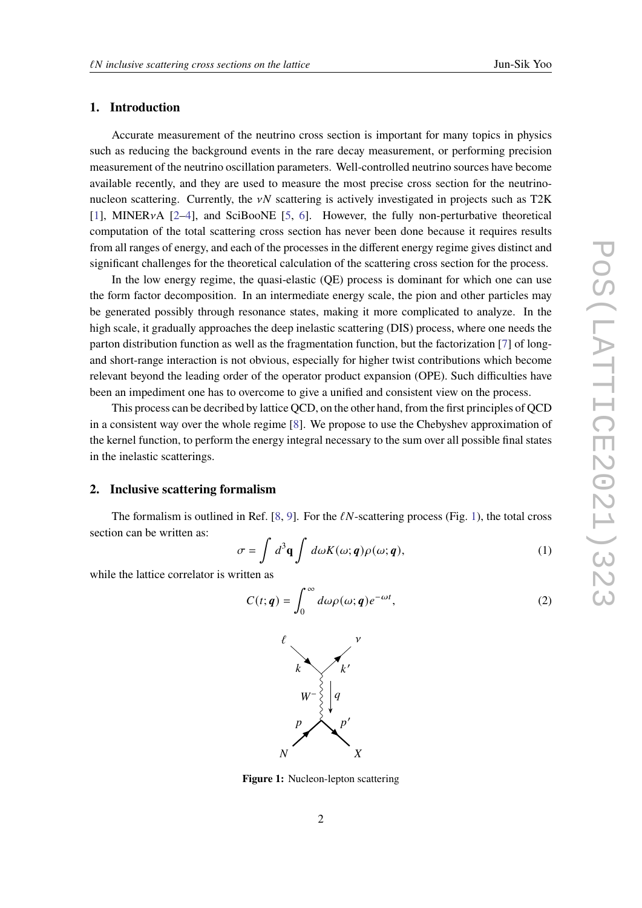### **1. Introduction**

Accurate measurement of the neutrino cross section is important for many topics in physics such as reducing the background events in the rare decay measurement, or performing precision measurement of the neutrino oscillation parameters. Well-controlled neutrino sources have become available recently, and they are used to measure the most precise cross section for the neutrinonucleon scattering. Currently, the  $vN$  scattering is actively investigated in projects such as T2K [\[1\]](#page-7-0), MINER $vA$  [\[2](#page-7-1)[–4\]](#page-8-0), and SciBooNE [\[5,](#page-8-1) [6\]](#page-8-2). However, the fully non-perturbative theoretical computation of the total scattering cross section has never been done because it requires results from all ranges of energy, and each of the processes in the different energy regime gives distinct and significant challenges for the theoretical calculation of the scattering cross section for the process.

In the low energy regime, the quasi-elastic (QE) process is dominant for which one can use the form factor decomposition. In an intermediate energy scale, the pion and other particles may be generated possibly through resonance states, making it more complicated to analyze. In the high scale, it gradually approaches the deep inelastic scattering (DIS) process, where one needs the parton distribution function as well as the fragmentation function, but the factorization [\[7\]](#page-8-3) of longand short-range interaction is not obvious, especially for higher twist contributions which become relevant beyond the leading order of the operator product expansion (OPE). Such difficulties have been an impediment one has to overcome to give a unified and consistent view on the process.

This process can be decribed by lattice QCD, on the other hand, from the first principles of QCD in a consistent way over the whole regime [\[8\]](#page-8-4). We propose to use the Chebyshev approximation of the kernel function, to perform the energy integral necessary to the sum over all possible final states in the inelastic scatterings.

#### **2. Inclusive scattering formalism**

The formalism is outlined in Ref. [\[8,](#page-8-4) [9\]](#page-8-5). For the  $\ell N$ -scattering process (Fig. [1\)](#page-1-0), the total cross section can be written as:

<span id="page-1-1"></span>
$$
\sigma = \int d^3 \mathbf{q} \int d\omega K(\omega; \mathbf{q}) \rho(\omega; \mathbf{q}), \qquad (1)
$$

<span id="page-1-0"></span>while the lattice correlator is written as

<span id="page-1-2"></span>
$$
C(t; \mathbf{q}) = \int_0^\infty d\omega \rho(\omega; \mathbf{q}) e^{-\omega t}, \tag{2}
$$



**Figure 1:** Nucleon-lepton scattering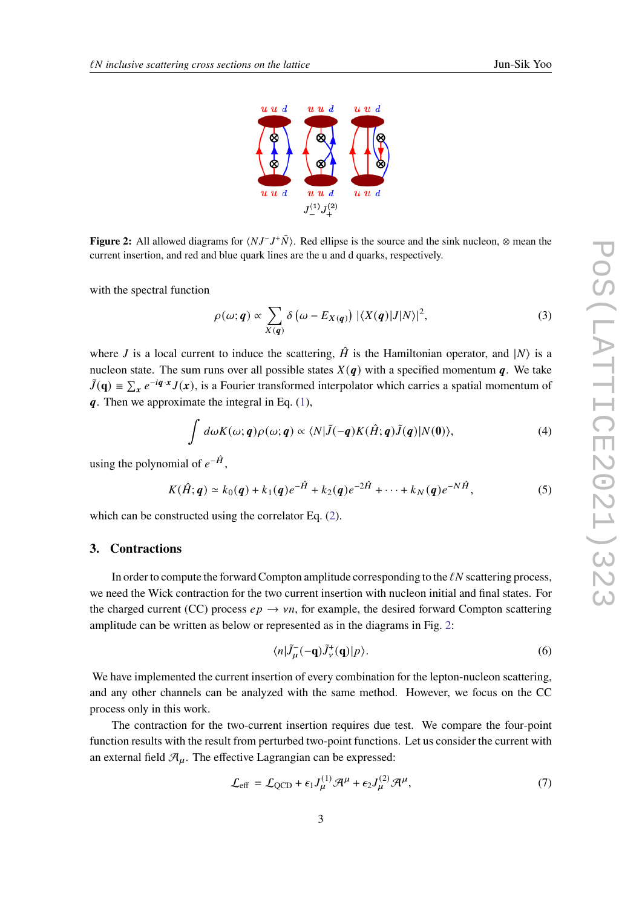

<span id="page-2-0"></span>**Figure 2:** All allowed diagrams for  $\langle NJ^-J^+\bar{N}\rangle$ . Red ellipse is the source and the sink nucleon, ⊗ mean the current insertion, and red and blue quark lines are the u and d quarks, respectively.

with the spectral function

$$
\rho(\omega; \mathbf{q}) \propto \sum_{X(\mathbf{q})} \delta\left(\omega - E_{X(\mathbf{q})}\right) |\langle X(\mathbf{q})|J|N\rangle|^2, \tag{3}
$$

where *J* is a local current to induce the scattering,  $\hat{H}$  is the Hamiltonian operator, and  $|N\rangle$  is a nucleon state. The sum runs over all possible states  $X(q)$  with a specified momentum q. We take  $\tilde{J}(\mathbf{q}) = \sum_{\mathbf{x}} e^{-i\mathbf{q} \cdot \mathbf{x}} J(\mathbf{x})$ , is a Fourier transformed interpolator which carries a spatial momentum of  $q$ . Then we approximate the integral in Eq.  $(1)$ ,

$$
\int d\omega K(\omega;q)\rho(\omega;q) \propto \langle N|\tilde{J}(-q)K(\hat{H};q)\tilde{J}(q)|N(0)\rangle, \tag{4}
$$

using the polynomial of  $e^{-\hat{H}}$ .

$$
K(\hat{H};q) \simeq k_0(q) + k_1(q)e^{-\hat{H}} + k_2(q)e^{-2\hat{H}} + \cdots + k_N(q)e^{-N\hat{H}},
$$
 (5)

which can be constructed using the correlator Eq. [\(2\)](#page-1-2).

#### **3. Contractions**

In order to compute the forward Compton amplitude corresponding to the  $\ell N$  scattering process, we need the Wick contraction for the two current insertion with nucleon initial and final states. For the charged current (CC) process  $ep \rightarrow \nu n$ , for example, the desired forward Compton scattering amplitude can be written as below or represented as in the diagrams in Fig. [2:](#page-2-0)

$$
\langle n|\tilde{J}_{\mu}^{-}(-\mathbf{q})\tilde{J}_{\nu}^{+}(\mathbf{q})|p\rangle. \tag{6}
$$

We have implemented the current insertion of every combination for the lepton-nucleon scattering, and any other channels can be analyzed with the same method. However, we focus on the CC process only in this work.

The contraction for the two-current insertion requires due test. We compare the four-point function results with the result from perturbed two-point functions. Let us consider the current with an external field  $\mathcal{A}_{\mu}$ . The effective Lagrangian can be expressed:

$$
\mathcal{L}_{\text{eff}} = \mathcal{L}_{\text{QCD}} + \epsilon_1 J_{\mu}^{(1)} \mathcal{H}^{\mu} + \epsilon_2 J_{\mu}^{(2)} \mathcal{H}^{\mu},\tag{7}
$$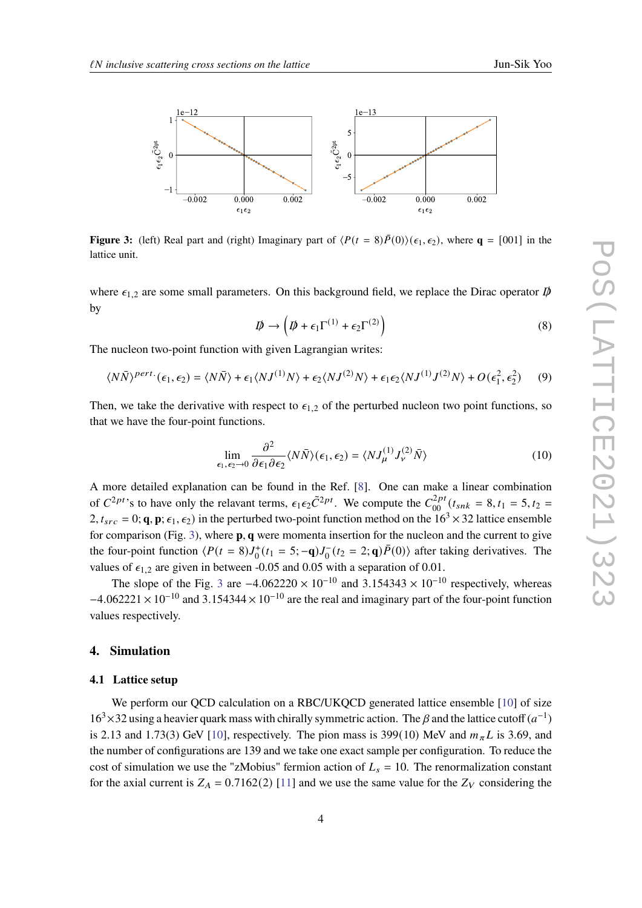<span id="page-3-0"></span>

**Figure 3:** (left) Real part and (right) Imaginary part of  $\langle P(t = 8)P(0)\rangle(\epsilon_1, \epsilon_2)$ , where  $q = [001]$  in the lattice unit.

where  $\epsilon_{1,2}$  are some small parameters. On this background field, we replace the Dirac operator  $\vec{p}$ by

$$
\mathcal{D} \to \left( \mathcal{D} + \epsilon_1 \Gamma^{(1)} + \epsilon_2 \Gamma^{(2)} \right) \tag{8}
$$

The nucleon two-point function with given Lagrangian writes:

$$
\langle N\bar{N}\rangle^{pert.}(\epsilon_1,\epsilon_2) = \langle N\bar{N}\rangle + \epsilon_1 \langle NJ^{(1)}N\rangle + \epsilon_2 \langle NJ^{(2)}N\rangle + \epsilon_1 \epsilon_2 \langle NJ^{(1)}J^{(2)}N\rangle + O(\epsilon_1^2,\epsilon_2^2)
$$
 (9)

Then, we take the derivative with respect to  $\epsilon_{1,2}$  of the perturbed nucleon two point functions, so that we have the four-point functions.

$$
\lim_{\epsilon_1, \epsilon_2 \to 0} \frac{\partial^2}{\partial \epsilon_1 \partial \epsilon_2} \langle N \bar{N} \rangle (\epsilon_1, \epsilon_2) = \langle N J^{(1)}_{\mu} J^{(2)}_{\nu} \bar{N} \rangle \tag{10}
$$

A more detailed explanation can be found in the Ref. [\[8\]](#page-8-4). One can make a linear combination of  $C^{2pt}$ 's to have only the relavant terms,  $\epsilon_1 \epsilon_2 \tilde{C}^{2pt}$ . We compute the  $C_{00}^{2pt}(t_{snk} = 8, t_1 = 5, t_2 = 1)$  $2, t_{src} = 0$ ; **q**, **p**;  $\epsilon_1$ ,  $\epsilon_2$ ) in the perturbed two-point function method on the  $16^3 \times 32$  lattice ensemble for comparison (Fig. [3\)](#page-3-0), where **p**, **q** were momenta insertion for the nucleon and the current to give the four-point function  $\langle P(t = 8)J_0^+(t_1 = 5; -\mathbf{q})J_0^-(t_2 = 2;\mathbf{q})\overline{P}(0)\rangle$  after taking derivatives. The values of  $\epsilon_{1,2}$  are given in between -0.05 and 0.05 with a separation of 0.01.

The slope of the Fig. [3](#page-3-0) are  $-4.062220 \times 10^{-10}$  and  $3.154343 \times 10^{-10}$  respectively, whereas  $-4.062221 \times 10^{-10}$  and 3.154344 × 10<sup>-10</sup> are the real and imaginary part of the four-point function values respectively.

#### **4. Simulation**

#### **4.1 Lattice setup**

We perform our QCD calculation on a RBC/UKQCD generated lattice ensemble [\[10\]](#page-8-6) of size  $16^3 \times 32$  using a heavier quark mass with chirally symmetric action. The  $\beta$  and the lattice cutoff  $(a^{-1})$ is 2.13 and 1.73(3) GeV [\[10\]](#page-8-6), respectively. The pion mass is 399(10) MeV and  $m_{\pi}L$  is 3.69, and the number of configurations are 139 and we take one exact sample per configuration. To reduce the cost of simulation we use the "zMobius" fermion action of  $L_s = 10$ . The renormalization constant for the axial current is  $Z_A = 0.7162(2)$  [\[11\]](#page-8-7) and we use the same value for the  $Z_V$  considering the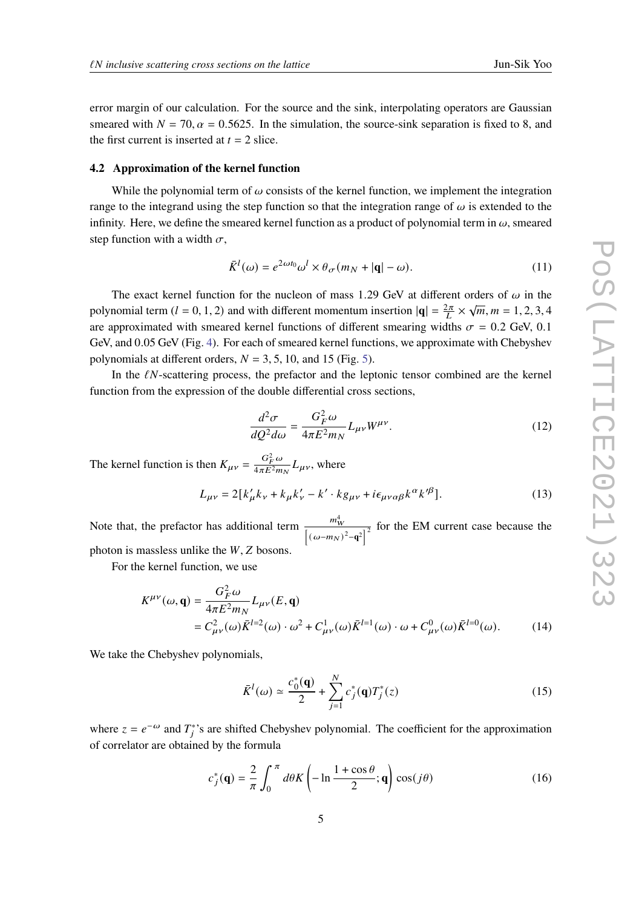error margin of our calculation. For the source and the sink, interpolating operators are Gaussian smeared with  $N = 70$ ,  $\alpha = 0.5625$ . In the simulation, the source-sink separation is fixed to 8, and the first current is inserted at  $t = 2$  slice.

#### **4.2 Approximation of the kernel function**

While the polynomial term of  $\omega$  consists of the kernel function, we implement the integration range to the integrand using the step function so that the integration range of  $\omega$  is extended to the infinity. Here, we define the smeared kernel function as a product of polynomial term in  $\omega$ , smeared step function with a width  $\sigma$ ,

$$
\bar{K}^{l}(\omega) = e^{2\omega t_0} \omega^l \times \theta_{\sigma}(m_N + |\mathbf{q}| - \omega). \tag{11}
$$

The exact kernel function for the nucleon of mass 1.29 GeV at different orders of  $\omega$  in the polynomial term ( $l = 0, 1, 2$ ) and with different momentum insertion  $|\mathbf{q}| = \frac{2\pi}{L}$  $\frac{2\pi}{L} \times \sqrt{m}, m = 1, 2, 3, 4$ are approximated with smeared kernel functions of different smearing widths  $\sigma = 0.2$  GeV, 0.1 GeV, and 0.05 GeV (Fig. [4\)](#page-5-0). For each of smeared kernel functions, we approximate with Chebyshev polynomials at different orders,  $N = 3, 5, 10$ , and 15 (Fig. [5\)](#page-5-1).

In the  $\ell N$ -scattering process, the prefactor and the leptonic tensor combined are the kernel function from the expression of the double differential cross sections,

$$
\frac{d^2\sigma}{dQ^2d\omega} = \frac{G_F^2\omega}{4\pi E^2 m_N} L_{\mu\nu} W^{\mu\nu}.
$$
\n(12)

The kernel function is then  $K_{\mu\nu} = \frac{G_F^2 \omega}{4\pi E^2 m}$  $\frac{G_F^2 \omega}{4 \pi E^2 m_N} L_{\mu\nu}$ , where

$$
L_{\mu\nu} = 2[k'_{\mu}k_{\nu} + k_{\mu}k'_{\nu} - k' \cdot kg_{\mu\nu} + i\epsilon_{\mu\nu\alpha\beta}k^{\alpha}k'^{\beta}].
$$
 (13)

Note that, the prefactor has additional term  $\frac{m_W^4}{4\pi}$  $\frac{m_W^2}{\left[ (\omega - m_N)^2 - q^2 \right]^2}$  for the EM current case because the photon is massless unlike the  $W$ ,  $Z$  bosons.

For the kernel function, we use

$$
K^{\mu\nu}(\omega, \mathbf{q}) = \frac{G_F^2 \omega}{4\pi E^2 m_N} L_{\mu\nu}(E, \mathbf{q})
$$
  
=  $C_{\mu\nu}^2(\omega) \bar{K}^{l=2}(\omega) \cdot \omega^2 + C_{\mu\nu}^1(\omega) \bar{K}^{l=1}(\omega) \cdot \omega + C_{\mu\nu}^0(\omega) \bar{K}^{l=0}(\omega).$  (14)

We take the Chebyshev polynomials,

<span id="page-4-0"></span>
$$
\bar{K}^{l}(\omega) \simeq \frac{c_{0}^{*}(\mathbf{q})}{2} + \sum_{j=1}^{N} c_{j}^{*}(\mathbf{q}) T_{j}^{*}(z)
$$
\n(15)

where  $z = e^{-\omega}$  and  $T_i^*$ 's are shifted Chebyshev polynomial. The coefficient for the approximation of correlator are obtained by the formula

$$
c_j^*(\mathbf{q}) = \frac{2}{\pi} \int_0^{\pi} d\theta K \left( -\ln \frac{1 + \cos \theta}{2}; \mathbf{q} \right) \cos(j\theta) \tag{16}
$$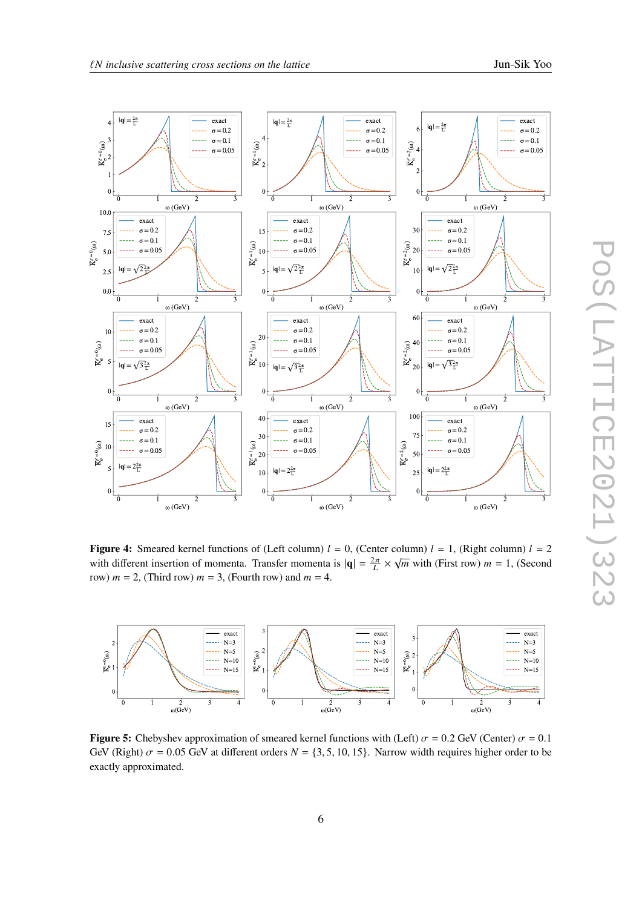<span id="page-5-0"></span>

**Figure 4:** Smeared kernel functions of (Left column)  $l = 0$ , (Center column)  $l = 1$ , (Right column)  $l = 2$ **Figure 4.** Sincard Reiner functions of (Eert column)  $t = 0$ , (Center column)  $t = 1$ , (Kight column)  $t = 2$  with different insertion of momenta. Transfer momenta is  $|\mathbf{q}| = \frac{2\pi}{L} \times \sqrt{m}$  with (First row)  $m = 1$ , (Seco row)  $m = 2$ , (Third row)  $m = 3$ , (Fourth row) and  $m = 4$ .

<span id="page-5-1"></span>

**Figure 5:** Chebyshev approximation of smeared kernel functions with (Left)  $\sigma = 0.2$  GeV (Center)  $\sigma = 0.1$ GeV (Right)  $\sigma = 0.05$  GeV at different orders  $N = \{3, 5, 10, 15\}$ . Narrow width requires higher order to be exactly approximated.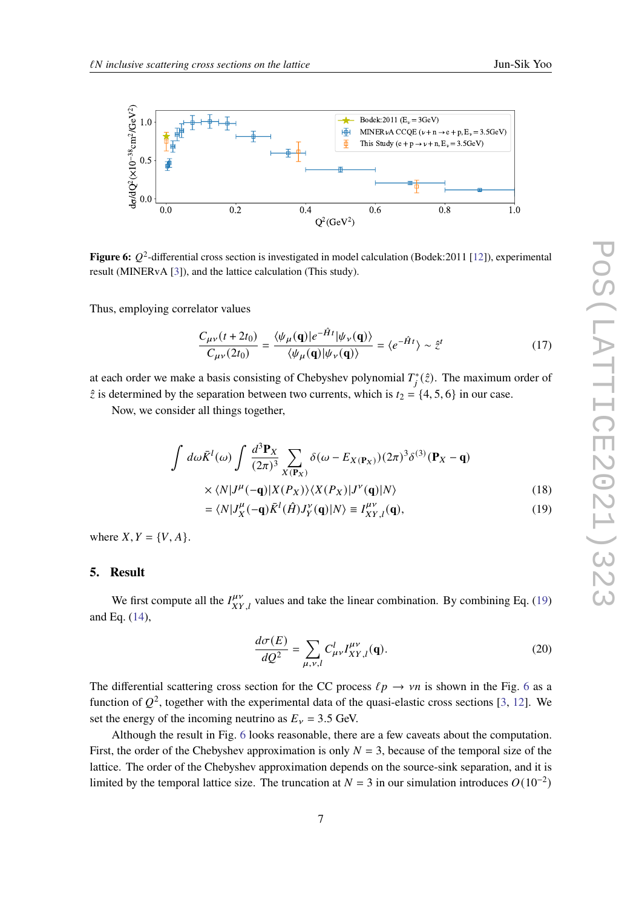<span id="page-6-1"></span>

**Figure 6:**  $Q^2$ -differential cross section is investigated in model calculation (Bodek: 2011 [\[12\]](#page-8-8)), experimental result (MINERvA [\[3\]](#page-8-9)), and the lattice calculation (This study).

Thus, employing correlator values

$$
\frac{C_{\mu\nu}(t+2t_0)}{C_{\mu\nu}(2t_0)} = \frac{\langle \psi_\mu(\mathbf{q})|e^{-\hat{H}t}|\psi_\nu(\mathbf{q})\rangle}{\langle \psi_\mu(\mathbf{q})|\psi_\nu(\mathbf{q})\rangle} = \langle e^{-\hat{H}t}\rangle \sim \hat{z}^t \tag{17}
$$

at each order we make a basis consisting of Chebyshev polynomial  $T_i^*(\hat{z})$ . The maximum order of  $\hat{z}$  is determined by the separation between two currents, which is  $t_2 = \{4, 5, 6\}$  in our case.

Now, we consider all things together,

$$
\int d\omega \bar{K}^{l}(\omega) \int \frac{d^{3}P_{X}}{(2\pi)^{3}} \sum_{X(\mathbf{P}_{X})} \delta(\omega - E_{X(\mathbf{P}_{X})})(2\pi)^{3} \delta^{(3)}(\mathbf{P}_{X} - \mathbf{q})
$$
  
 
$$
\times \langle N|J^{\mu}(-\mathbf{q})|X(P_{X})\rangle \langle X(P_{X})|J^{\nu}(\mathbf{q})|N\rangle
$$
 (18)

$$
\times \langle N|J^{\mu}(-\mathbf{q})|X(P_X)\rangle \langle X(P_X)|J'(q)|N\rangle \tag{18}
$$

$$
= \langle N|J_X^{\mu}(-\mathbf{q})\bar{K}^l(\hat{H})J_Y^{\nu}(\mathbf{q})|N\rangle \equiv I_{XY,l}^{\mu\nu}(\mathbf{q}), \qquad (19)
$$

where  $X, Y = \{V, A\}.$ 

#### **5. Result**

We first compute all the  $I_{XY,l}^{\mu\nu}$  values and take the linear combination. By combining Eq. [\(19\)](#page-6-0) and Eq. [\(14\)](#page-4-0),

<span id="page-6-0"></span>
$$
\frac{d\sigma(E)}{dQ^2} = \sum_{\mu,\nu,l} C^l_{\mu\nu} I^{\mu\nu}_{XY,l}(\mathbf{q}).
$$
\n(20)

The differential scattering cross section for the CC process  $\ell p \to \nu n$  is shown in the Fig. [6](#page-6-1) as a function of  $O^2$ , together with the experimental data of the quasi-elastic cross sections [\[3,](#page-8-9) [12\]](#page-8-8). We set the energy of the incoming neutrino as  $E<sub>v</sub> = 3.5$  GeV.

Although the result in Fig. [6](#page-6-1) looks reasonable, there are a few caveats about the computation. First, the order of the Chebyshev approximation is only  $N = 3$ , because of the temporal size of the lattice. The order of the Chebyshev approximation depends on the source-sink separation, and it is limited by the temporal lattice size. The truncation at  $N = 3$  in our simulation introduces  $O(10^{-2})$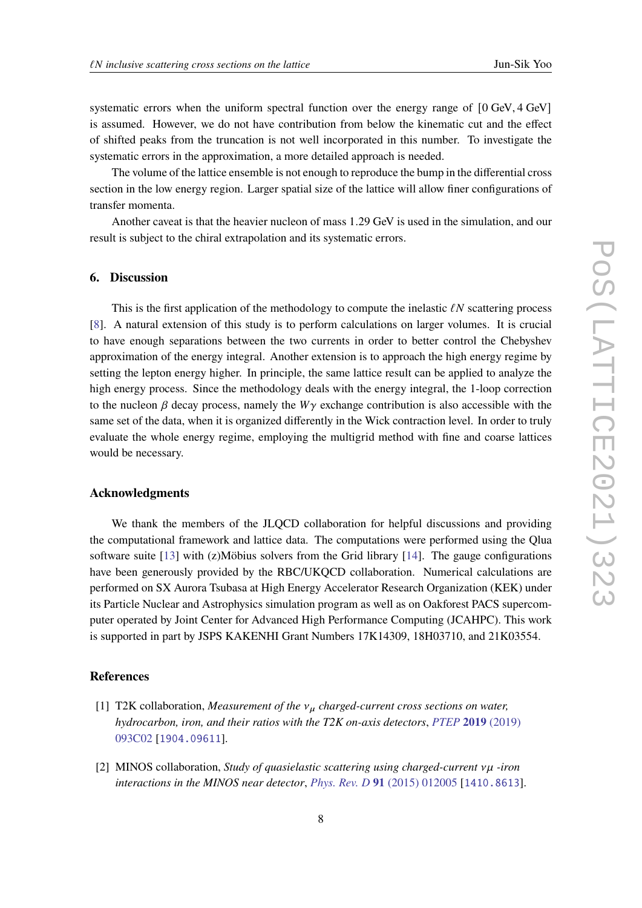systematic errors when the uniform spectral function over the energy range of  $[0 \text{ GeV}, 4 \text{ GeV}]$ is assumed. However, we do not have contribution from below the kinematic cut and the effect of shifted peaks from the truncation is not well incorporated in this number. To investigate the systematic errors in the approximation, a more detailed approach is needed.

The volume of the lattice ensemble is not enough to reproduce the bump in the differential cross section in the low energy region. Larger spatial size of the lattice will allow finer configurations of transfer momenta.

Another caveat is that the heavier nucleon of mass 1.29 GeV is used in the simulation, and our result is subject to the chiral extrapolation and its systematic errors.

#### **6. Discussion**

This is the first application of the methodology to compute the inelastic  $\ell N$  scattering process [\[8\]](#page-8-4). A natural extension of this study is to perform calculations on larger volumes. It is crucial to have enough separations between the two currents in order to better control the Chebyshev approximation of the energy integral. Another extension is to approach the high energy regime by setting the lepton energy higher. In principle, the same lattice result can be applied to analyze the high energy process. Since the methodology deals with the energy integral, the 1-loop correction to the nucleon  $\beta$  decay process, namely the  $W\gamma$  exchange contribution is also accessible with the same set of the data, when it is organized differently in the Wick contraction level. In order to truly evaluate the whole energy regime, employing the multigrid method with fine and coarse lattices would be necessary.

#### **Acknowledgments**

We thank the members of the JLQCD collaboration for helpful discussions and providing the computational framework and lattice data. The computations were performed using the Qlua software suite  $[13]$  with  $(z)$ Möbius solvers from the Grid library  $[14]$ . The gauge configurations have been generously provided by the RBC/UKQCD collaboration. Numerical calculations are performed on SX Aurora Tsubasa at High Energy Accelerator Research Organization (KEK) under its Particle Nuclear and Astrophysics simulation program as well as on Oakforest PACS supercomputer operated by Joint Center for Advanced High Performance Computing (JCAHPC). This work is supported in part by JSPS KAKENHI Grant Numbers 17K14309, 18H03710, and 21K03554.

#### **References**

- <span id="page-7-0"></span>[1] T2K collaboration, *Measurement of the*  $v_{\mu}$  *charged-current cross sections on water, hydrocarbon, iron, and their ratios with the T2K on-axis detectors*, *[PTEP](https://doi.org/10.1093/ptep/ptz070)* **2019** (2019) [093C02](https://doi.org/10.1093/ptep/ptz070) [[1904.09611](https://arxiv.org/abs/1904.09611)].
- <span id="page-7-1"></span>[2] MINOS collaboration, *Study of quasielastic scattering using charged-current vµ -iron interactions in the MINOS near detector*, *[Phys. Rev. D](https://doi.org/10.1103/PhysRevD.91.012005)* **91** (2015) 012005 [[1410.8613](https://arxiv.org/abs/1410.8613)].